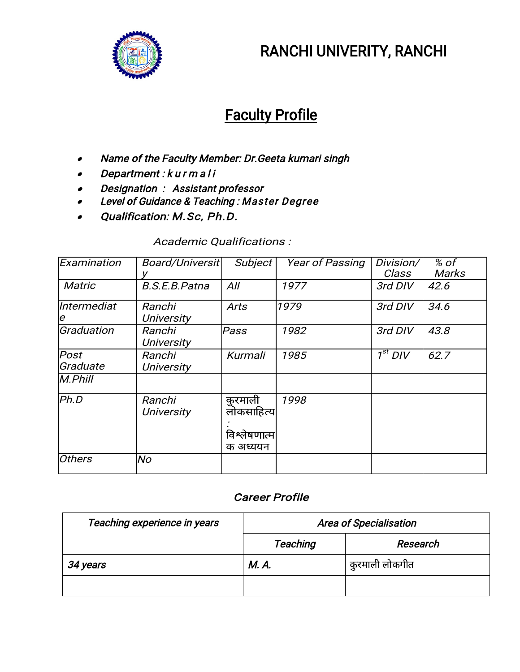

# RANCHI UNIVERITY, RANCHI

# Faculty Profile

- $\bullet$ Name of the Faculty Member: Dr.Geeta kumari singh
- $\bullet$ Department : kurmali
- $\bullet$ Designation : Assistant professor
- $\bullet$ Level of Guidance & Teaching : Master Degree
- $\bullet$ Qualification: M.Sc, Ph.D.

#### Academic Qualifications :

| Examination       | Board/Universit             | Subject                                           | <b>Year of Passing</b> | Division/<br>Class     | % of<br><b>Marks</b> |
|-------------------|-----------------------------|---------------------------------------------------|------------------------|------------------------|----------------------|
| <b>Matric</b>     | <b>B.S.E.B.Patna</b>        | All                                               | 1977                   | 3rd DIV                | 42.6                 |
| Intermediat<br>Ιe | Ranchi<br><b>University</b> | <b>Arts</b>                                       | 1979                   | 3rd DIV                | 34.6                 |
| Graduation        | Ranchi<br><b>University</b> | Pass                                              | 1982                   | 3rd DIV                | 43.8                 |
| Post<br>Graduate  | Ranchi<br><b>University</b> | Kurmali                                           | 1985                   | $\overline{1^{st}$ DIV | 62.7                 |
| $M.$ Phill        |                             |                                                   |                        |                        |                      |
| Ph.D              | Ranchi<br><b>University</b> | कुरमाली<br>लोकसाहित्य<br>विश्लेषणात्म<br>क अध्ययन | 1998                   |                        |                      |
| <b>Others</b>     | lNo                         |                                                   |                        |                        |                      |

#### Career Profile

| Teaching experience in years | <b>Area of Specialisation</b> |                |
|------------------------------|-------------------------------|----------------|
|                              | <b>Teaching</b>               | Research       |
| 34 years                     | M. A.                         | कुरमाली लोकगीत |
|                              |                               |                |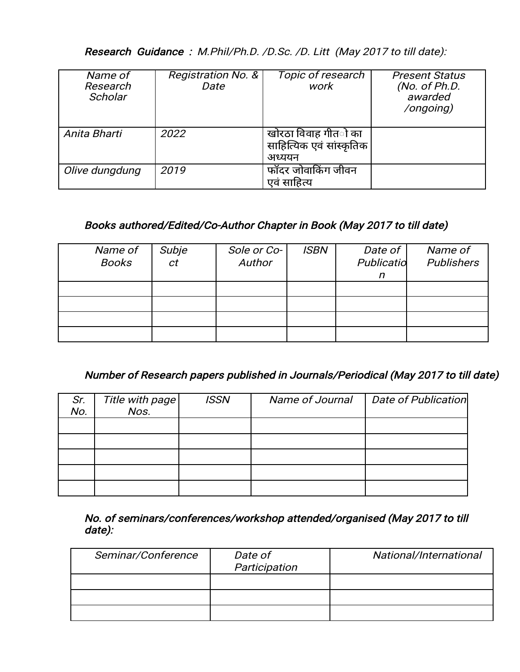Research Guidance : M.Phil/Ph.D. /D.Sc. /D. Litt (May 2017 to till date):

| Name of<br>Research<br>Scholar | <b>Registration No. &amp;</b><br>Date | Topic of research<br>work                                         | <b>Present Status</b><br>(No. of Ph.D.<br>awarded<br>/ongoing) |
|--------------------------------|---------------------------------------|-------------------------------------------------------------------|----------------------------------------------------------------|
| Anita Bharti                   | 2022                                  | खोरठा विवाह गीत <b>ो</b> का<br>साहित्यिक एवं सांस्कृतिक<br>अध्ययन |                                                                |
| Olive dungdung                 | 2019                                  | फॉदर जोवाकिंग जीवन<br>एवं साहित्य                                 |                                                                |

## Books authored/Edited/Co-Author Chapter in Book (May 2017 to till date)

| Name of<br><b>Books</b> | Subje<br>ct | Sole or Co-<br>Author | <b>ISBN</b> | Date of $ $<br>Publicatio | Name of<br><b>Publishers</b> |
|-------------------------|-------------|-----------------------|-------------|---------------------------|------------------------------|
|                         |             |                       |             | n                         |                              |
|                         |             |                       |             |                           |                              |
|                         |             |                       |             |                           |                              |
|                         |             |                       |             |                           |                              |
|                         |             |                       |             |                           |                              |

## Number of Research papers published in Journals/Periodical (May 2017 to till date)

| Sr.<br>No. | Title with page | <b>ISSN</b> | Name of Journal | <b>Date of Publication</b> |
|------------|-----------------|-------------|-----------------|----------------------------|
|            |                 |             |                 |                            |
|            |                 |             |                 |                            |
|            |                 |             |                 |                            |
|            |                 |             |                 |                            |
|            |                 |             |                 |                            |

No. of seminars/conferences/workshop attended/organised (May 2017 to till date):

| Seminar/Conference | Date of<br>Participation | National/International |
|--------------------|--------------------------|------------------------|
|                    |                          |                        |
|                    |                          |                        |
|                    |                          |                        |